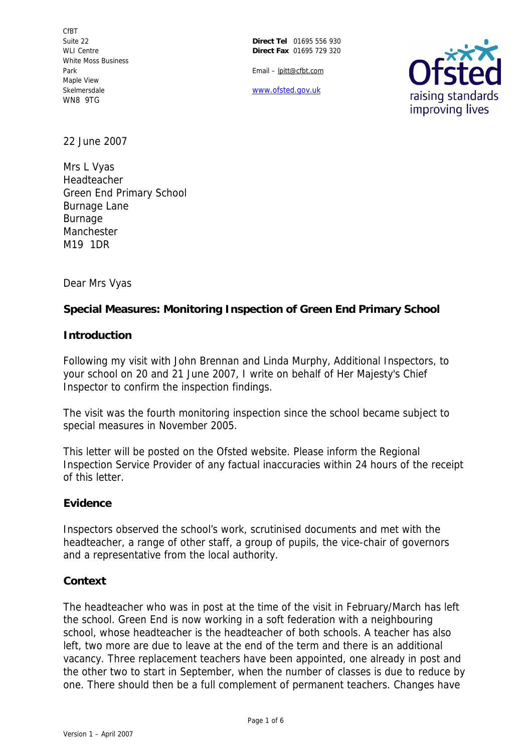CfBT Suite 22 WLI Centre White Moss Business Park Maple View Skelmersdale WN8 9TG

**Direct Tel** 01695 556 930 **Direct Fax** 01695 729 320

Email – lpitt@cfbt.com

www.ofsted.gov.uk



22 June 2007

Mrs L Vyas Headteacher Green End Primary School Burnage Lane Burnage Manchester M19 1DR

Dear Mrs Vyas

**Special Measures: Monitoring Inspection of Green End Primary School**

**Introduction**

Following my visit with John Brennan and Linda Murphy, Additional Inspectors, to your school on 20 and 21 June 2007, I write on behalf of Her Majesty's Chief Inspector to confirm the inspection findings.

The visit was the fourth monitoring inspection since the school became subject to special measures in November 2005.

This letter will be posted on the Ofsted website. Please inform the Regional Inspection Service Provider of any factual inaccuracies within 24 hours of the receipt of this letter.

## **Evidence**

Inspectors observed the school's work, scrutinised documents and met with the headteacher, a range of other staff, a group of pupils, the vice-chair of governors and a representative from the local authority.

## **Context**

The headteacher who was in post at the time of the visit in February/March has left the school. Green End is now working in a soft federation with a neighbouring school, whose headteacher is the headteacher of both schools. A teacher has also left, two more are due to leave at the end of the term and there is an additional vacancy. Three replacement teachers have been appointed, one already in post and the other two to start in September, when the number of classes is due to reduce by one. There should then be a full complement of permanent teachers. Changes have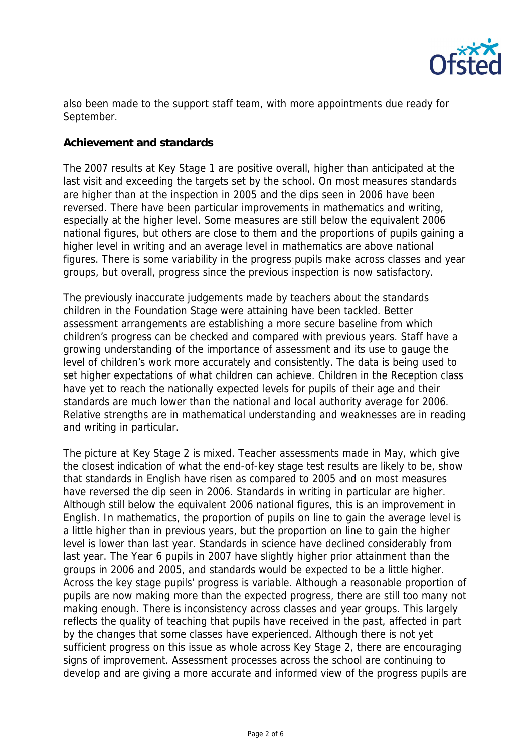

also been made to the support staff team, with more appointments due ready for September.

# **Achievement and standards**

The 2007 results at Key Stage 1 are positive overall, higher than anticipated at the last visit and exceeding the targets set by the school. On most measures standards are higher than at the inspection in 2005 and the dips seen in 2006 have been reversed. There have been particular improvements in mathematics and writing, especially at the higher level. Some measures are still below the equivalent 2006 national figures, but others are close to them and the proportions of pupils gaining a higher level in writing and an average level in mathematics are above national figures. There is some variability in the progress pupils make across classes and year groups, but overall, progress since the previous inspection is now satisfactory.

The previously inaccurate judgements made by teachers about the standards children in the Foundation Stage were attaining have been tackled. Better assessment arrangements are establishing a more secure baseline from which children's progress can be checked and compared with previous years. Staff have a growing understanding of the importance of assessment and its use to gauge the level of children's work more accurately and consistently. The data is being used to set higher expectations of what children can achieve. Children in the Reception class have yet to reach the nationally expected levels for pupils of their age and their standards are much lower than the national and local authority average for 2006. Relative strengths are in mathematical understanding and weaknesses are in reading and writing in particular.

The picture at Key Stage 2 is mixed. Teacher assessments made in May, which give the closest indication of what the end-of-key stage test results are likely to be, show that standards in English have risen as compared to 2005 and on most measures have reversed the dip seen in 2006. Standards in writing in particular are higher. Although still below the equivalent 2006 national figures, this is an improvement in English. In mathematics, the proportion of pupils on line to gain the average level is a little higher than in previous years, but the proportion on line to gain the higher level is lower than last year. Standards in science have declined considerably from last year. The Year 6 pupils in 2007 have slightly higher prior attainment than the groups in 2006 and 2005, and standards would be expected to be a little higher. Across the key stage pupils' progress is variable. Although a reasonable proportion of pupils are now making more than the expected progress, there are still too many not making enough. There is inconsistency across classes and year groups. This largely reflects the quality of teaching that pupils have received in the past, affected in part by the changes that some classes have experienced. Although there is not yet sufficient progress on this issue as whole across Key Stage 2, there are encouraging signs of improvement. Assessment processes across the school are continuing to develop and are giving a more accurate and informed view of the progress pupils are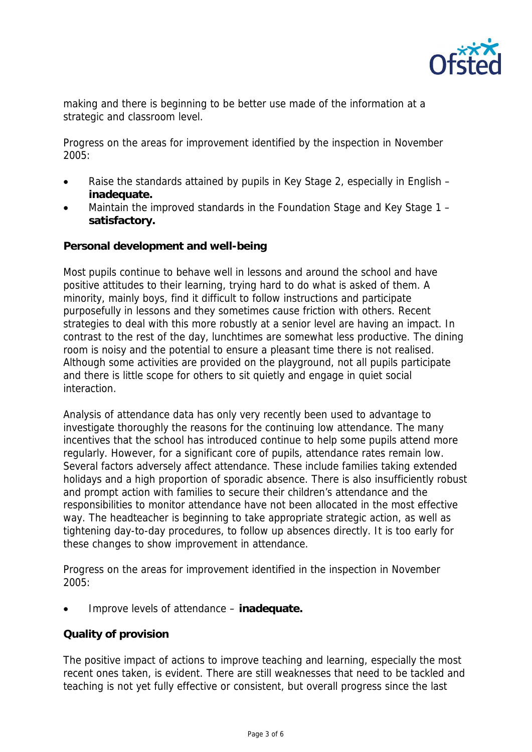

making and there is beginning to be better use made of the information at a strategic and classroom level.

Progress on the areas for improvement identified by the inspection in November 2005:

- Raise the standards attained by pupils in Key Stage 2, especially in English **inadequate.**
- Maintain the improved standards in the Foundation Stage and Key Stage 1 **satisfactory.**

**Personal development and well-being**

Most pupils continue to behave well in lessons and around the school and have positive attitudes to their learning, trying hard to do what is asked of them. A minority, mainly boys, find it difficult to follow instructions and participate purposefully in lessons and they sometimes cause friction with others. Recent strategies to deal with this more robustly at a senior level are having an impact. In contrast to the rest of the day, lunchtimes are somewhat less productive. The dining room is noisy and the potential to ensure a pleasant time there is not realised. Although some activities are provided on the playground, not all pupils participate and there is little scope for others to sit quietly and engage in quiet social interaction.

Analysis of attendance data has only very recently been used to advantage to investigate thoroughly the reasons for the continuing low attendance. The many incentives that the school has introduced continue to help some pupils attend more regularly. However, for a significant core of pupils, attendance rates remain low. Several factors adversely affect attendance. These include families taking extended holidays and a high proportion of sporadic absence. There is also insufficiently robust and prompt action with families to secure their children's attendance and the responsibilities to monitor attendance have not been allocated in the most effective way. The headteacher is beginning to take appropriate strategic action, as well as tightening day-to-day procedures, to follow up absences directly. It is too early for these changes to show improvement in attendance.

Progress on the areas for improvement identified in the inspection in November 2005:

Improve levels of attendance – **inadequate.**

## **Quality of provision**

The positive impact of actions to improve teaching and learning, especially the most recent ones taken, is evident. There are still weaknesses that need to be tackled and teaching is not yet fully effective or consistent, but overall progress since the last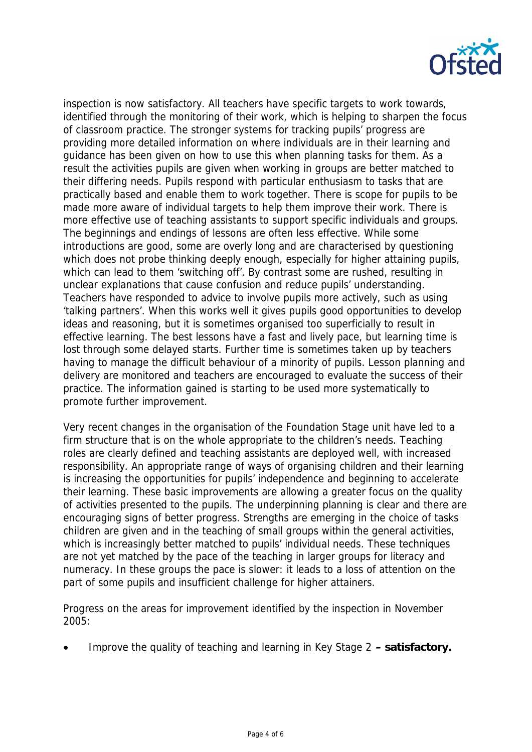

inspection is now satisfactory. All teachers have specific targets to work towards, identified through the monitoring of their work, which is helping to sharpen the focus of classroom practice. The stronger systems for tracking pupils' progress are providing more detailed information on where individuals are in their learning and guidance has been given on how to use this when planning tasks for them. As a result the activities pupils are given when working in groups are better matched to their differing needs. Pupils respond with particular enthusiasm to tasks that are practically based and enable them to work together. There is scope for pupils to be made more aware of individual targets to help them improve their work. There is more effective use of teaching assistants to support specific individuals and groups. The beginnings and endings of lessons are often less effective. While some introductions are good, some are overly long and are characterised by questioning which does not probe thinking deeply enough, especially for higher attaining pupils, which can lead to them 'switching off'. By contrast some are rushed, resulting in unclear explanations that cause confusion and reduce pupils' understanding. Teachers have responded to advice to involve pupils more actively, such as using 'talking partners'. When this works well it gives pupils good opportunities to develop ideas and reasoning, but it is sometimes organised too superficially to result in effective learning. The best lessons have a fast and lively pace, but learning time is lost through some delayed starts. Further time is sometimes taken up by teachers having to manage the difficult behaviour of a minority of pupils. Lesson planning and delivery are monitored and teachers are encouraged to evaluate the success of their practice. The information gained is starting to be used more systematically to promote further improvement.

Very recent changes in the organisation of the Foundation Stage unit have led to a firm structure that is on the whole appropriate to the children's needs. Teaching roles are clearly defined and teaching assistants are deployed well, with increased responsibility. An appropriate range of ways of organising children and their learning is increasing the opportunities for pupils' independence and beginning to accelerate their learning. These basic improvements are allowing a greater focus on the quality of activities presented to the pupils. The underpinning planning is clear and there are encouraging signs of better progress. Strengths are emerging in the choice of tasks children are given and in the teaching of small groups within the general activities, which is increasingly better matched to pupils' individual needs. These techniques are not yet matched by the pace of the teaching in larger groups for literacy and numeracy. In these groups the pace is slower: it leads to a loss of attention on the part of some pupils and insufficient challenge for higher attainers.

Progress on the areas for improvement identified by the inspection in November 2005:

Improve the quality of teaching and learning in Key Stage 2 **– satisfactory.**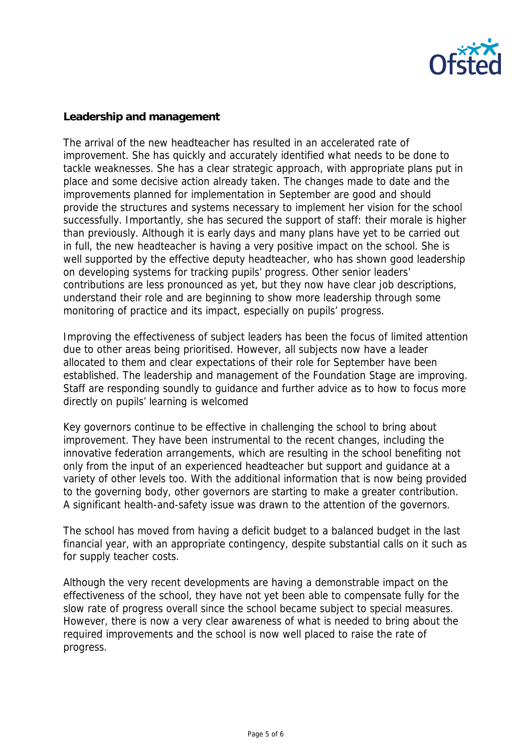

### **Leadership and management**

The arrival of the new headteacher has resulted in an accelerated rate of improvement. She has quickly and accurately identified what needs to be done to tackle weaknesses. She has a clear strategic approach, with appropriate plans put in place and some decisive action already taken. The changes made to date and the improvements planned for implementation in September are good and should provide the structures and systems necessary to implement her vision for the school successfully. Importantly, she has secured the support of staff: their morale is higher than previously. Although it is early days and many plans have yet to be carried out in full, the new headteacher is having a very positive impact on the school. She is well supported by the effective deputy headteacher, who has shown good leadership on developing systems for tracking pupils' progress. Other senior leaders' contributions are less pronounced as yet, but they now have clear job descriptions, understand their role and are beginning to show more leadership through some monitoring of practice and its impact, especially on pupils' progress.

Improving the effectiveness of subject leaders has been the focus of limited attention due to other areas being prioritised. However, all subjects now have a leader allocated to them and clear expectations of their role for September have been established. The leadership and management of the Foundation Stage are improving. Staff are responding soundly to guidance and further advice as to how to focus more directly on pupils' learning is welcomed

Key governors continue to be effective in challenging the school to bring about improvement. They have been instrumental to the recent changes, including the innovative federation arrangements, which are resulting in the school benefiting not only from the input of an experienced headteacher but support and guidance at a variety of other levels too. With the additional information that is now being provided to the governing body, other governors are starting to make a greater contribution. A significant health-and-safety issue was drawn to the attention of the governors.

The school has moved from having a deficit budget to a balanced budget in the last financial year, with an appropriate contingency, despite substantial calls on it such as for supply teacher costs.

Although the very recent developments are having a demonstrable impact on the effectiveness of the school, they have not yet been able to compensate fully for the slow rate of progress overall since the school became subject to special measures. However, there is now a very clear awareness of what is needed to bring about the required improvements and the school is now well placed to raise the rate of progress.